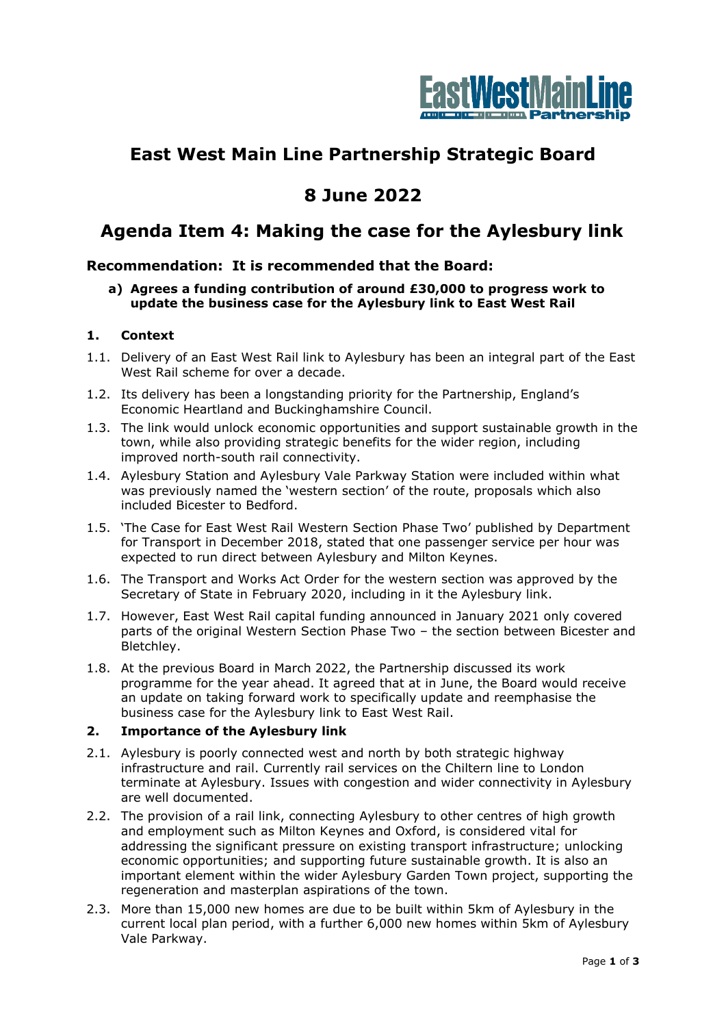

# **East West Main Line Partnership Strategic Board**

## **8 June 2022**

## **Agenda Item 4: Making the case for the Aylesbury link**

### **Recommendation: It is recommended that the Board:**

**a) Agrees a funding contribution of around £30,000 to progress work to update the business case for the Aylesbury link to East West Rail**

#### **1. Context**

- 1.1. Delivery of an East West Rail link to Aylesbury has been an integral part of the East West Rail scheme for over a decade.
- 1.2. Its delivery has been a longstanding priority for the Partnership, England's Economic Heartland and Buckinghamshire Council.
- 1.3. The link would unlock economic opportunities and support sustainable growth in the town, while also providing strategic benefits for the wider region, including improved north-south rail connectivity.
- 1.4. Aylesbury Station and Aylesbury Vale Parkway Station were included within what was previously named the 'western section' of the route, proposals which also included Bicester to Bedford.
- 1.5. 'The Case for East West Rail Western Section Phase Two' published by Department for Transport in December 2018, stated that one passenger service per hour was expected to run direct between Aylesbury and Milton Keynes.
- 1.6. The Transport and Works Act Order for the western section was approved by the Secretary of State in February 2020, including in it the Aylesbury link.
- 1.7. However, East West Rail capital funding announced in January 2021 only covered parts of the original Western Section Phase Two – the section between Bicester and Bletchley.
- 1.8. At the previous Board in March 2022, the Partnership discussed its work programme for the year ahead. It agreed that at in June, the Board would receive an update on taking forward work to specifically update and reemphasise the business case for the Aylesbury link to East West Rail.

#### **2. Importance of the Aylesbury link**

- 2.1. Aylesbury is poorly connected west and north by both strategic highway infrastructure and rail. Currently rail services on the Chiltern line to London terminate at Aylesbury. Issues with congestion and wider connectivity in Aylesbury are well documented.
- 2.2. The provision of a rail link, connecting Aylesbury to other centres of high growth and employment such as Milton Keynes and Oxford, is considered vital for addressing the significant pressure on existing transport infrastructure; unlocking economic opportunities; and supporting future sustainable growth. It is also an important element within the wider Aylesbury Garden Town project, supporting the regeneration and masterplan aspirations of the town.
- 2.3. More than 15,000 new homes are due to be built within 5km of Aylesbury in the current local plan period, with a further 6,000 new homes within 5km of Aylesbury Vale Parkway.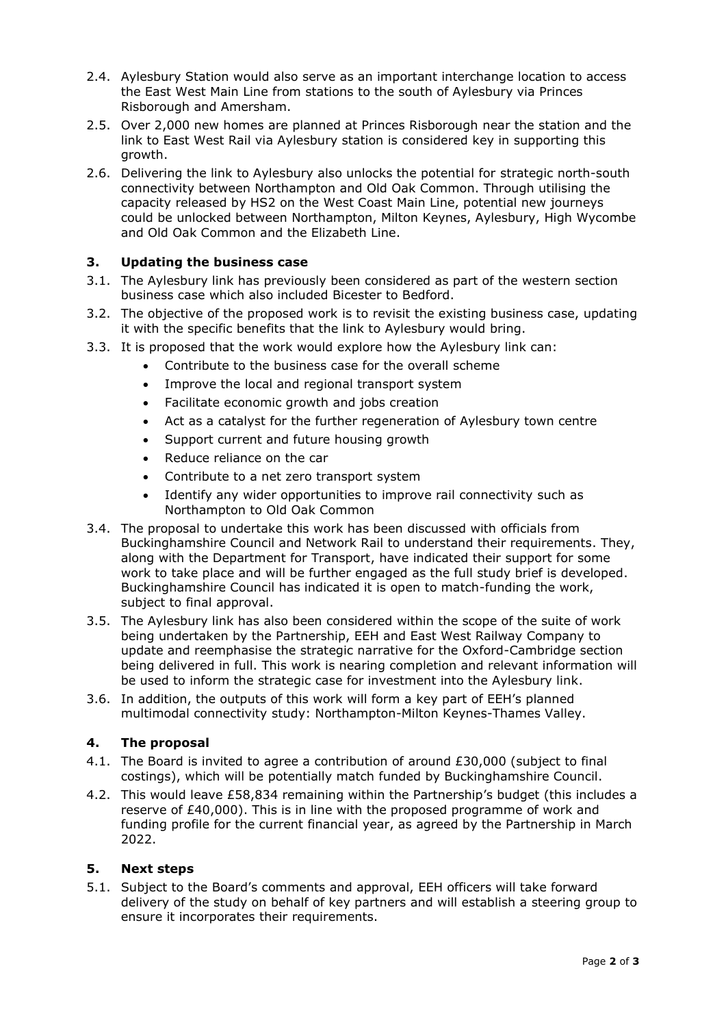- 2.4. Aylesbury Station would also serve as an important interchange location to access the East West Main Line from stations to the south of Aylesbury via Princes Risborough and Amersham.
- 2.5. Over 2,000 new homes are planned at Princes Risborough near the station and the link to East West Rail via Aylesbury station is considered key in supporting this growth.
- 2.6. Delivering the link to Aylesbury also unlocks the potential for strategic north-south connectivity between Northampton and Old Oak Common. Through utilising the capacity released by HS2 on the West Coast Main Line, potential new journeys could be unlocked between Northampton, Milton Keynes, Aylesbury, High Wycombe and Old Oak Common and the Elizabeth Line.

#### **3. Updating the business case**

- 3.1. The Aylesbury link has previously been considered as part of the western section business case which also included Bicester to Bedford.
- 3.2. The objective of the proposed work is to revisit the existing business case, updating it with the specific benefits that the link to Aylesbury would bring.
- 3.3. It is proposed that the work would explore how the Aylesbury link can:
	- Contribute to the business case for the overall scheme
	- Improve the local and regional transport system
	- Facilitate economic growth and jobs creation
	- Act as a catalyst for the further regeneration of Aylesbury town centre
	- Support current and future housing growth
	- Reduce reliance on the car
	- Contribute to a net zero transport system
	- Identify any wider opportunities to improve rail connectivity such as Northampton to Old Oak Common
- 3.4. The proposal to undertake this work has been discussed with officials from Buckinghamshire Council and Network Rail to understand their requirements. They, along with the Department for Transport, have indicated their support for some work to take place and will be further engaged as the full study brief is developed. Buckinghamshire Council has indicated it is open to match-funding the work, subject to final approval.
- 3.5. The Aylesbury link has also been considered within the scope of the suite of work being undertaken by the Partnership, EEH and East West Railway Company to update and reemphasise the strategic narrative for the Oxford-Cambridge section being delivered in full. This work is nearing completion and relevant information will be used to inform the strategic case for investment into the Aylesbury link.
- 3.6. In addition, the outputs of this work will form a key part of EEH's planned multimodal connectivity study: Northampton-Milton Keynes-Thames Valley.

#### **4. The proposal**

- 4.1. The Board is invited to agree a contribution of around £30,000 (subject to final costings), which will be potentially match funded by Buckinghamshire Council.
- 4.2. This would leave £58,834 remaining within the Partnership's budget (this includes a reserve of £40,000). This is in line with the proposed programme of work and funding profile for the current financial year, as agreed by the Partnership in March 2022.

#### **5. Next steps**

5.1. Subject to the Board's comments and approval, EEH officers will take forward delivery of the study on behalf of key partners and will establish a steering group to ensure it incorporates their requirements.